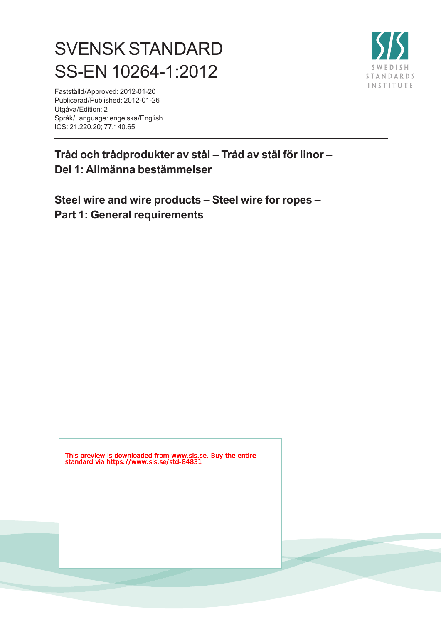# SVENSK STANDARD SS-EN 10264-1:2012



Fastställd/Approved: 2012-01-20 Publicerad/Published: 2012-01-26 Utgåva/Edition: 2 Språk/Language: engelska/English ICS: 21.220.20; 77.140.65

# **Tråd och trådprodukter av stål – Tråd av stål för linor – Del 1: Allmänna bestämmelser**

**Steel wire and wire products – Steel wire for ropes – Part 1: General requirements**

This preview is downloaded from www.sis.se. Buy the entire standard via https://www.sis.se/std-84831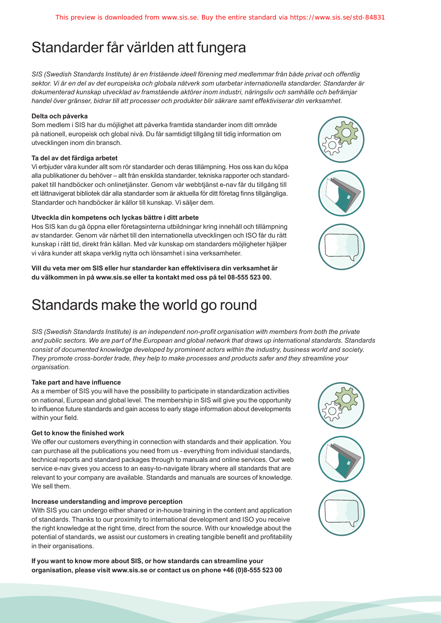# Standarder får världen att fungera

*SIS (Swedish Standards Institute) är en fristående ideell förening med medlemmar från både privat och offentlig sektor. Vi är en del av det europeiska och globala nätverk som utarbetar internationella standarder. Standarder är dokumenterad kunskap utvecklad av framstående aktörer inom industri, näringsliv och samhälle och befrämjar handel över gränser, bidrar till att processer och produkter blir säkrare samt effektiviserar din verksamhet.* 

### **Delta och påverka**

Som medlem i SIS har du möjlighet att påverka framtida standarder inom ditt område på nationell, europeisk och global nivå. Du får samtidigt tillgång till tidig information om utvecklingen inom din bransch.

## **Ta del av det färdiga arbetet**

Vi erbjuder våra kunder allt som rör standarder och deras tillämpning. Hos oss kan du köpa alla publikationer du behöver – allt från enskilda standarder, tekniska rapporter och standardpaket till handböcker och onlinetjänster. Genom vår webbtjänst e-nav får du tillgång till ett lättnavigerat bibliotek där alla standarder som är aktuella för ditt företag finns tillgängliga. Standarder och handböcker är källor till kunskap. Vi säljer dem.

### **Utveckla din kompetens och lyckas bättre i ditt arbete**

Hos SIS kan du gå öppna eller företagsinterna utbildningar kring innehåll och tillämpning av standarder. Genom vår närhet till den internationella utvecklingen och ISO får du rätt kunskap i rätt tid, direkt från källan. Med vår kunskap om standarders möjligheter hjälper vi våra kunder att skapa verklig nytta och lönsamhet i sina verksamheter.

**Vill du veta mer om SIS eller hur standarder kan effektivisera din verksamhet är du välkommen in på www.sis.se eller ta kontakt med oss på tel 08-555 523 00.**

# Standards make the world go round

*SIS (Swedish Standards Institute) is an independent non-profit organisation with members from both the private and public sectors. We are part of the European and global network that draws up international standards. Standards consist of documented knowledge developed by prominent actors within the industry, business world and society. They promote cross-border trade, they help to make processes and products safer and they streamline your organisation.*

#### **Take part and have influence**

As a member of SIS you will have the possibility to participate in standardization activities on national, European and global level. The membership in SIS will give you the opportunity to influence future standards and gain access to early stage information about developments within your field.

### **Get to know the finished work**

We offer our customers everything in connection with standards and their application. You can purchase all the publications you need from us - everything from individual standards, technical reports and standard packages through to manuals and online services. Our web service e-nav gives you access to an easy-to-navigate library where all standards that are relevant to your company are available. Standards and manuals are sources of knowledge. We sell them.

### **Increase understanding and improve perception**

With SIS you can undergo either shared or in-house training in the content and application of standards. Thanks to our proximity to international development and ISO you receive the right knowledge at the right time, direct from the source. With our knowledge about the potential of standards, we assist our customers in creating tangible benefit and profitability in their organisations.

**If you want to know more about SIS, or how standards can streamline your organisation, please visit www.sis.se or contact us on phone +46 (0)8-555 523 00**



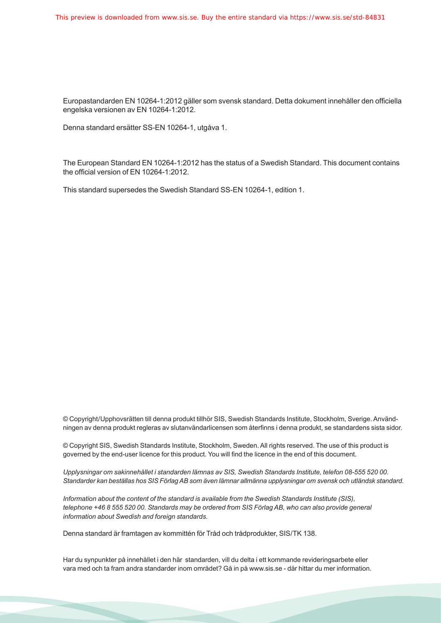Europastandarden EN 10264-1:2012 gäller som svensk standard. Detta dokument innehåller den officiella engelska versionen av EN 10264-1:2012.

Denna standard ersätter SS-EN 10264-1, utgåva 1.

The European Standard EN 10264-1:2012 has the status of a Swedish Standard. This document contains the official version of EN 10264-1:2012.

This standard supersedes the Swedish Standard SS-EN 10264-1, edition 1.

© Copyright/Upphovsrätten till denna produkt tillhör SIS, Swedish Standards Institute, Stockholm, Sverige. Användningen av denna produkt regleras av slutanvändarlicensen som återfinns i denna produkt, se standardens sista sidor.

© Copyright SIS, Swedish Standards Institute, Stockholm, Sweden. All rights reserved. The use of this product is governed by the end-user licence for this product. You will find the licence in the end of this document.

*Upplysningar om sakinnehållet i standarden lämnas av SIS, Swedish Standards Institute, telefon 08-555 520 00. Standarder kan beställas hos SIS Förlag AB som även lämnar allmänna upplysningar om svensk och utländsk standard.*

*Information about the content of the standard is available from the Swedish Standards Institute (SIS), telephone +46 8 555 520 00. Standards may be ordered from SIS Förlag AB, who can also provide general information about Swedish and foreign standards.*

Denna standard är framtagen av kommittén för Tråd och trådprodukter, SIS/TK 138.

Har du synpunkter på innehållet i den här standarden, vill du delta i ett kommande revideringsarbete eller vara med och ta fram andra standarder inom området? Gå in på www.sis.se - där hittar du mer information.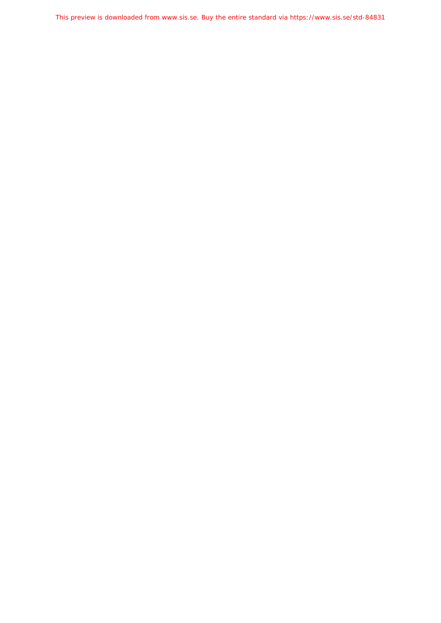This preview is downloaded from www.sis.se. Buy the entire standard via https://www.sis.se/std-84831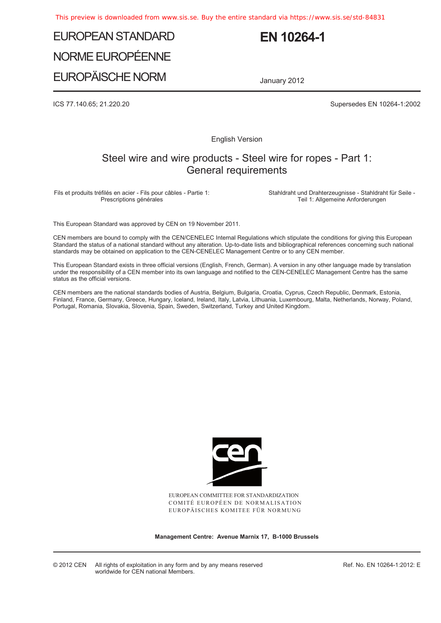# EUROPEAN STANDARD

# **EN 10264-1**

EUROPÄISCHE NORM

NORME EUROPÉENNE

January 2012

ICS 77.140.65; 21.220.20 Supersedes EN 10264-1:2002

English Version

## Steel wire and wire products - Steel wire for ropes - Part 1: General requirements

Fils et produits tréfilés en acier - Fils pour câbles - Partie 1: Prescriptions générales

Stahldraht und Drahterzeugnisse - Stahldraht für Seile - Teil 1: Allgemeine Anforderungen

This European Standard was approved by CEN on 19 November 2011.

CEN members are bound to comply with the CEN/CENELEC Internal Regulations which stipulate the conditions for giving this European Standard the status of a national standard without any alteration. Up-to-date lists and bibliographical references concerning such national standards may be obtained on application to the CEN-CENELEC Management Centre or to any CEN member.

This European Standard exists in three official versions (English, French, German). A version in any other language made by translation under the responsibility of a CEN member into its own language and notified to the CEN-CENELEC Management Centre has the same status as the official versions.

CEN members are the national standards bodies of Austria, Belgium, Bulgaria, Croatia, Cyprus, Czech Republic, Denmark, Estonia, Finland, France, Germany, Greece, Hungary, Iceland, Ireland, Italy, Latvia, Lithuania, Luxembourg, Malta, Netherlands, Norway, Poland, Portugal, Romania, Slovakia, Slovenia, Spain, Sweden, Switzerland, Turkey and United Kingdom.



EUROPEAN COMMITTEE FOR STANDARDIZATION COMITÉ EUROPÉEN DE NORMALISATION EUROPÄISCHES KOMITEE FÜR NORMUNG

**Management Centre: Avenue Marnix 17, B-1000 Brussels**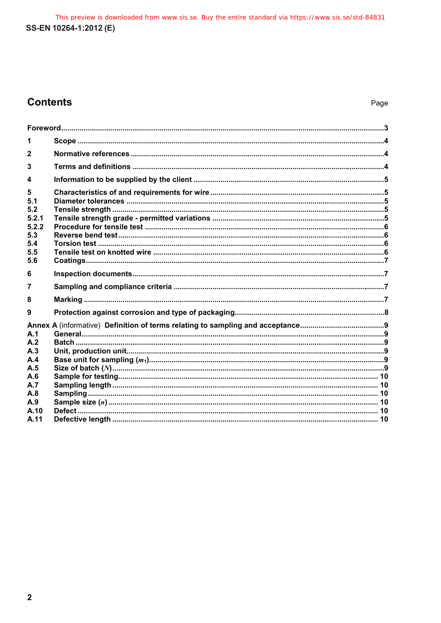This preview is downloaded from www.sis.se. Buy the entire standard via https://www.sis.se/std-84831 SS-EN 10264-1:2012 (E)

# **Contents**

Page

| 1                     |  |  |
|-----------------------|--|--|
| $\overline{2}$        |  |  |
| 3                     |  |  |
| $\boldsymbol{4}$      |  |  |
| 5<br>5.1<br>5.2       |  |  |
| 5.2.1                 |  |  |
| 5.2.2<br>5.3          |  |  |
| 5.4                   |  |  |
| 5.5<br>5.6            |  |  |
| 6                     |  |  |
| 7                     |  |  |
| 8                     |  |  |
| 9                     |  |  |
| A <sub>1</sub><br>A.2 |  |  |
| A.3                   |  |  |
| A.4<br>A.5            |  |  |
| A.6                   |  |  |
| A.7<br>A.8            |  |  |
| A.9                   |  |  |
| A.10<br>A.11          |  |  |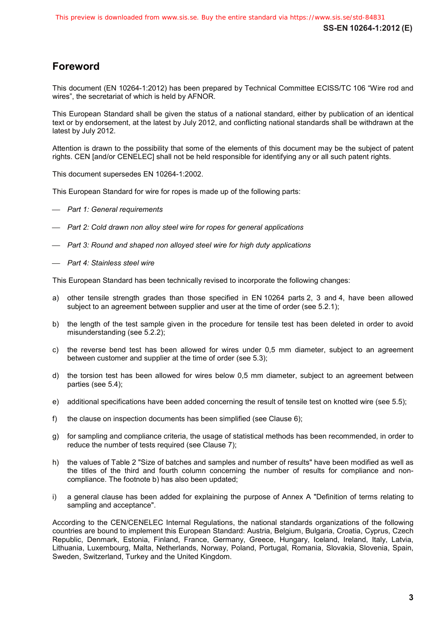# **Foreword**

This document (EN 10264-1:2012) has been prepared by Technical Committee ECISS/TC 106 "Wire rod and wires", the secretariat of which is held by AFNOR.

This European Standard shall be given the status of a national standard, either by publication of an identical text or by endorsement, at the latest by July 2012, and conflicting national standards shall be withdrawn at the latest by July 2012.

Attention is drawn to the possibility that some of the elements of this document may be the subject of patent rights. CEN [and/or CENELEC] shall not be held responsible for identifying any or all such patent rights.

This document supersedes EN 10264-1:2002.

This European Standard for wire for ropes is made up of the following parts:

- *Part 1: General requirements*
- *Part 2: Cold drawn non alloy steel wire for ropes for general applications*
- *Part 3: Round and shaped non alloyed steel wire for high duty applications*
- *Part 4: Stainless steel wire*

This European Standard has been technically revised to incorporate the following changes:

- a) other tensile strength grades than those specified in EN 10264 parts 2, 3 and 4, have been allowed subject to an agreement between supplier and user at the time of order (see 5.2.1);
- b) the length of the test sample given in the procedure for tensile test has been deleted in order to avoid misunderstanding (see 5.2.2);
- c) the reverse bend test has been allowed for wires under 0,5 mm diameter, subject to an agreement between customer and supplier at the time of order (see 5.3);
- d) the torsion test has been allowed for wires below 0,5 mm diameter, subject to an agreement between parties (see 5.4);
- e) additional specifications have been added concerning the result of tensile test on knotted wire (see 5.5);
- f) the clause on inspection documents has been simplified (see Clause 6);
- g) for sampling and compliance criteria, the usage of statistical methods has been recommended, in order to reduce the number of tests required (see Clause 7);
- h) the values of Table 2 "Size of batches and samples and number of results" have been modified as well as the titles of the third and fourth column concerning the number of results for compliance and noncompliance. The footnote b) has also been updated;
- i) a general clause has been added for explaining the purpose of Annex A "Definition of terms relating to sampling and acceptance".

According to the CEN/CENELEC Internal Regulations, the national standards organizations of the following countries are bound to implement this European Standard: Austria, Belgium, Bulgaria, Croatia, Cyprus, Czech Republic, Denmark, Estonia, Finland, France, Germany, Greece, Hungary, Iceland, Ireland, Italy, Latvia, Lithuania, Luxembourg, Malta, Netherlands, Norway, Poland, Portugal, Romania, Slovakia, Slovenia, Spain, Sweden, Switzerland, Turkey and the United Kingdom.